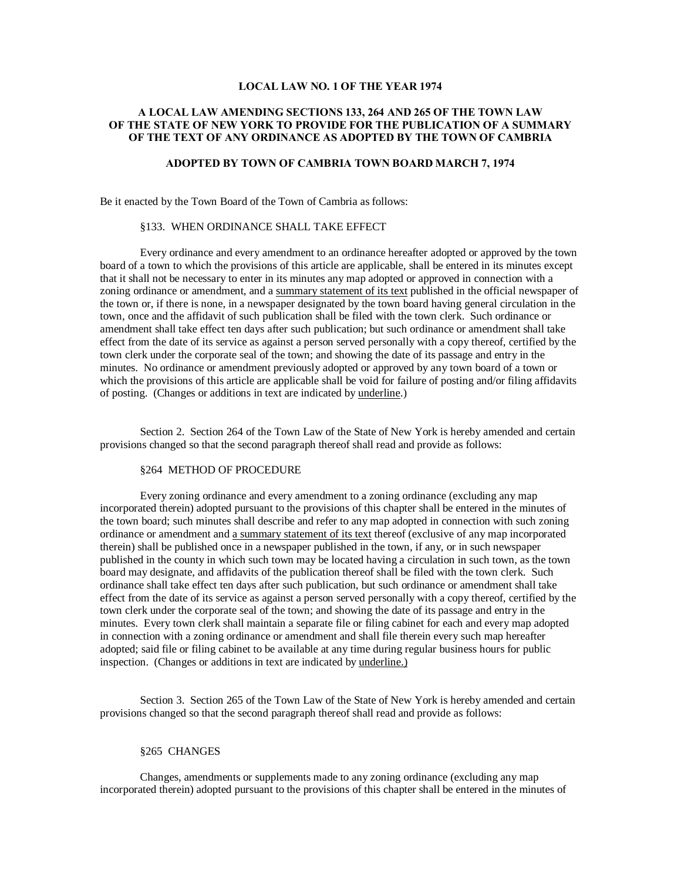# **LOCAL LAW NO. 1 OF THE YEAR 1974**

# **A LOCAL LAW AMENDING SECTIONS 133, 264 AND 265 OF THE TOWN LAW OF THE STATE OF NEW YORK TO PROVIDE FOR THE PUBLICATION OF A SUMMARY OF THE TEXT OF ANY ORDINANCE AS ADOPTED BY THE TOWN OF CAMBRIA**

# **ADOPTED BY TOWN OF CAMBRIA TOWN BOARD MARCH 7, 1974**

Be it enacted by the Town Board of the Town of Cambria as follows:

# §133. WHEN ORDINANCE SHALL TAKE EFFECT

Every ordinance and every amendment to an ordinance hereafter adopted or approved by the town board of a town to which the provisions of this article are applicable, shall be entered in its minutes except that it shall not be necessary to enter in its minutes any map adopted or approved in connection with a zoning ordinance or amendment, and a summary statement of its text published in the official newspaper of the town or, if there is none, in a newspaper designated by the town board having general circulation in the town, once and the affidavit of such publication shall be filed with the town clerk. Such ordinance or amendment shall take effect ten days after such publication; but such ordinance or amendment shall take effect from the date of its service as against a person served personally with a copy thereof, certified by the town clerk under the corporate seal of the town; and showing the date of its passage and entry in the minutes. No ordinance or amendment previously adopted or approved by any town board of a town or which the provisions of this article are applicable shall be void for failure of posting and/or filing affidavits of posting. (Changes or additions in text are indicated by underline.)

Section 2. Section 264 of the Town Law of the State of New York is hereby amended and certain provisions changed so that the second paragraph thereof shall read and provide as follows:

#### §264 METHOD OF PROCEDURE

Every zoning ordinance and every amendment to a zoning ordinance (excluding any map incorporated therein) adopted pursuant to the provisions of this chapter shall be entered in the minutes of the town board; such minutes shall describe and refer to any map adopted in connection with such zoning ordinance or amendment and a summary statement of its text thereof (exclusive of any map incorporated therein) shall be published once in a newspaper published in the town, if any, or in such newspaper published in the county in which such town may be located having a circulation in such town, as the town board may designate, and affidavits of the publication thereof shall be filed with the town clerk. Such ordinance shall take effect ten days after such publication, but such ordinance or amendment shall take effect from the date of its service as against a person served personally with a copy thereof, certified by the town clerk under the corporate seal of the town; and showing the date of its passage and entry in the minutes. Every town clerk shall maintain a separate file or filing cabinet for each and every map adopted in connection with a zoning ordinance or amendment and shall file therein every such map hereafter adopted; said file or filing cabinet to be available at any time during regular business hours for public inspection. (Changes or additions in text are indicated by underline.)

Section 3. Section 265 of the Town Law of the State of New York is hereby amended and certain provisions changed so that the second paragraph thereof shall read and provide as follows:

### §265 CHANGES

Changes, amendments or supplements made to any zoning ordinance (excluding any map incorporated therein) adopted pursuant to the provisions of this chapter shall be entered in the minutes of